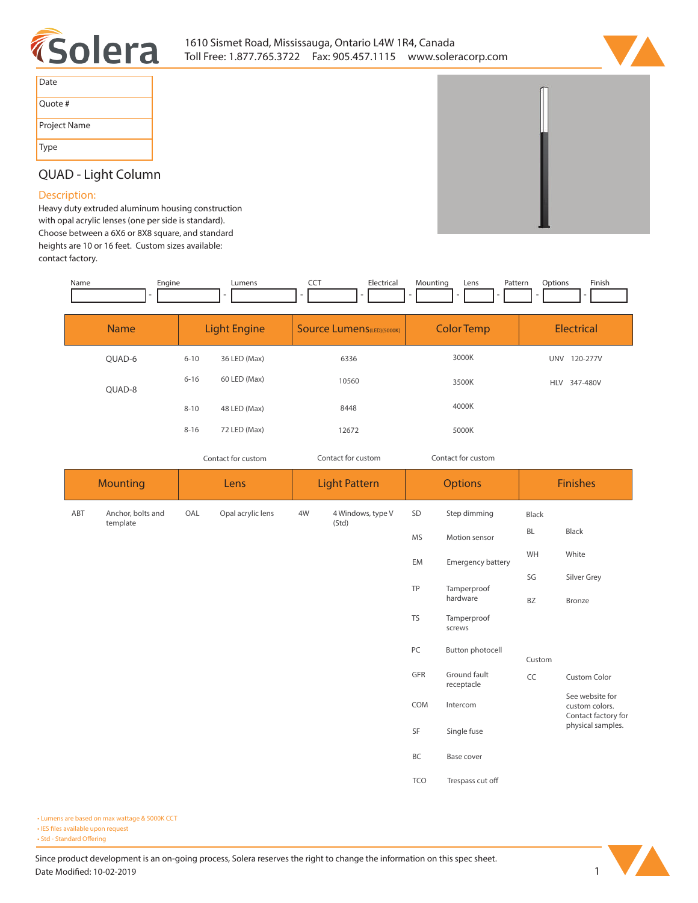



| Date         |
|--------------|
| Quote #      |
| Project Name |
| <b>Type</b>  |

## **QUAD - Light Column**

## **Description:**

**Heavy duty extruded aluminum housing construction with opal acrylic lenses (one per side is standard). Choose between a 6X6 or 8X8 square, and standard heights are 10 or 16 feet. Custom sizes available: contact factory.** 

| Name | Engine | Lumens | --- | - -<br>Electric | untina | Lens | Patterr<br>. | Options | Finish |
|------|--------|--------|-----|-----------------|--------|------|--------------|---------|--------|
|      |        |        |     |                 |        |      |              |         |        |

| <b>Name</b> | <b>Light Engine</b> |              | <b>Source Lumens (LED)(5000K)</b> | <b>Color Temp</b>  | <b>Electrical</b>      |  |
|-------------|---------------------|--------------|-----------------------------------|--------------------|------------------------|--|
| QUAD-6      | $6 - 10$            | 36 LED (Max) | 6336                              | 3000K              | UNV<br>120-277V        |  |
| QUAD-8      | $6 - 16$            | 60 LED (Max) | 10560                             | 3500K              | 347-480V<br><b>HLV</b> |  |
|             | $8 - 10$            | 48 LED (Max) | 8448                              | 4000K              |                        |  |
|             | $8 - 16$            | 72 LED (Max) | 12672                             | 5000K              |                        |  |
|             | Contact for custom  |              | Contact for custom                | Contact for custom |                        |  |

| <b>Mounting</b> |                                                     | Lens                                                                           |                    | <b>Light Pattern</b> |                       | <b>Options</b>    |                                                          | <b>Finishes</b> |             |
|-----------------|-----------------------------------------------------|--------------------------------------------------------------------------------|--------------------|----------------------|-----------------------|-------------------|----------------------------------------------------------|-----------------|-------------|
| ABT             | Opal acrylic lens<br>Anchor, bolts and<br>OAL<br>4W |                                                                                | 4 Windows, type V  | SD                   | Step dimming          | Black             |                                                          |                 |             |
|                 | template                                            |                                                                                | (Std)<br><b>MS</b> |                      | Motion sensor         | <b>BL</b>         | Black                                                    |                 |             |
|                 |                                                     |                                                                                |                    |                      |                       | EM                | Emergency battery                                        | WH              | White       |
|                 |                                                     |                                                                                |                    |                      |                       | TP                | Tamperproof                                              | SG              | Silver Grey |
|                 |                                                     | hardware                                                                       |                    | BZ                   | Bronze                |                   |                                                          |                 |             |
|                 |                                                     |                                                                                |                    | TS                   | Tamperproof<br>screws |                   |                                                          |                 |             |
|                 |                                                     | PC<br>Button photocell<br>GFR<br>Ground fault<br>receptacle<br>COM<br>Intercom |                    |                      |                       |                   |                                                          | Custom          |             |
|                 |                                                     |                                                                                |                    | CC                   | <b>Custom Color</b>   |                   |                                                          |                 |             |
|                 |                                                     |                                                                                |                    |                      |                       |                   | See website for<br>custom colors.<br>Contact factory for |                 |             |
|                 |                                                     |                                                                                | SF                 | Single fuse          |                       | physical samples. |                                                          |                 |             |
|                 |                                                     |                                                                                |                    |                      |                       | BC                | Base cover                                               |                 |             |
|                 |                                                     |                                                                                |                    |                      |                       | <b>TCO</b>        | Trespass cut off                                         |                 |             |